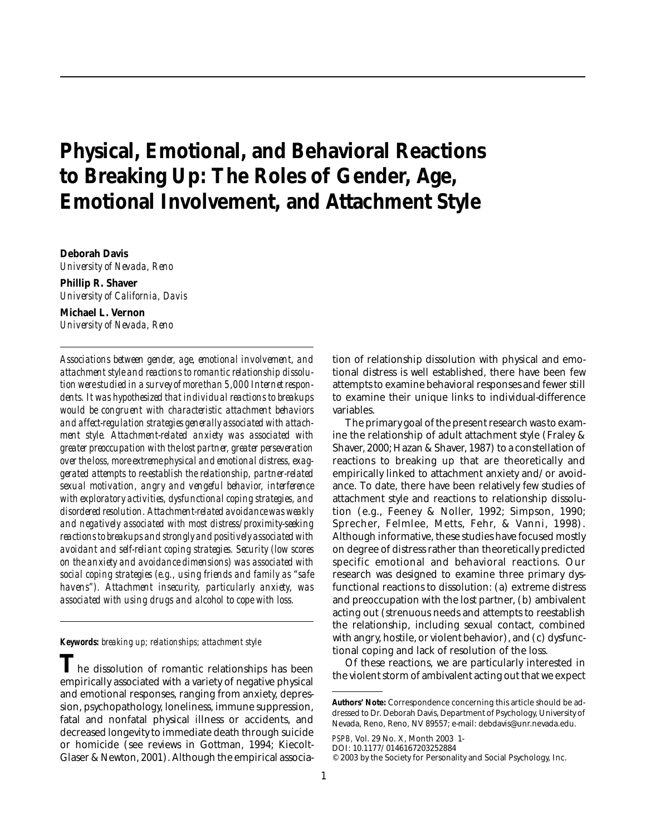# **Physical, Emotional, and Behavioral Reactions to Breaking Up: The Roles of Gender, Age, Emotional Involvement, and Attachment Style**

**Deborah Davis** *University of Nevada, Reno*

Davis et al. / ATTACHMENT AND REACTIONS TO BREAKUPS

**Phillip R. Shaver** *University of California, Davis*

**Michael L. Vernon** *University of Nevada, Reno*

*Associations between gender, age, emotional involvement, and attachment style and reactions to romantic relationship dissolution were studied in a survey of more than 5,000 Internet respondents. It was hypothesized that individual reactions to breakups would be congruent with characteristic attachment behaviors and affect-regulation strategies generally associated with attachment style. Attachment-related anxiety was associated with greater preoccupation with the lost partner, greater perseveration over the loss, more extreme physical and emotional distress, exaggerated attempts to re-establish the relationship, partner-related sexual motivation, angry and vengeful behavior, interference with exploratory activities, dysfunctional coping strategies, and disordered resolution. Attachment-related avoidance was weakly and negatively associated with most distress/proximity-seeking reactions to breakups and strongly and positively associated with avoidant and self-reliant coping strategies. Security (low scores on the anxiety and avoidance dimensions) was associated with social coping strategies (e.g., using friends and family as "safe havens"). Attachment insecurity, particularly anxiety, was associated with using drugs and alcohol to cope with loss.*

*Keywords: breaking up; relationships; attachment style*

**I** he dissolution of romantic relationships has been empirically associated with a variety of negative physical and emotional responses, ranging from anxiety, depression, psychopathology, loneliness, immune suppression, fatal and nonfatal physical illness or accidents, and decreased longevity to immediate death through suicide or homicide (see reviews in Gottman, 1994; Kiecolt-Glaser & Newton, 2001). Although the empirical association of relationship dissolution with physical and emotional distress is well established, there have been few attempts to examine behavioral responses and fewer still to examine their unique links to individual-difference variables.

The primary goal of the present research was to examine the relationship of adult attachment style (Fraley & Shaver, 2000; Hazan & Shaver, 1987) to a constellation of reactions to breaking up that are theoretically and empirically linked to attachment anxiety and/or avoidance. To date, there have been relatively few studies of attachment style and reactions to relationship dissolution (e.g., Feeney & Noller, 1992; Simpson, 1990; Sprecher, Felmlee, Metts, Fehr, & Vanni, 1998). Although informative, these studies have focused mostly on degree of distress rather than theoretically predicted specific emotional and behavioral reactions. Our research was designed to examine three primary dysfunctional reactions to dissolution: (a) extreme distress and preoccupation with the lost partner, (b) ambivalent acting out (strenuous needs and attempts to reestablish the relationship, including sexual contact, combined with angry, hostile, or violent behavior), and (c) dysfunctional coping and lack of resolution of the loss.

Of these reactions, we are particularly interested in the violent storm of ambivalent acting out that we expect

**Authors' Note:** Correspondence concerning this article should be addressed to Dr. Deborah Davis, Department of Psychology, University of Nevada, Reno, Reno, NV 89557; e-mail: debdavis@unr.nevada.edu.

*PSPB,* Vol. 29 No. X, Month 2003 1-

DOI: 10.1177/0146167203252884

<sup>© 2003</sup> by the Society for Personality and Social Psychology, Inc.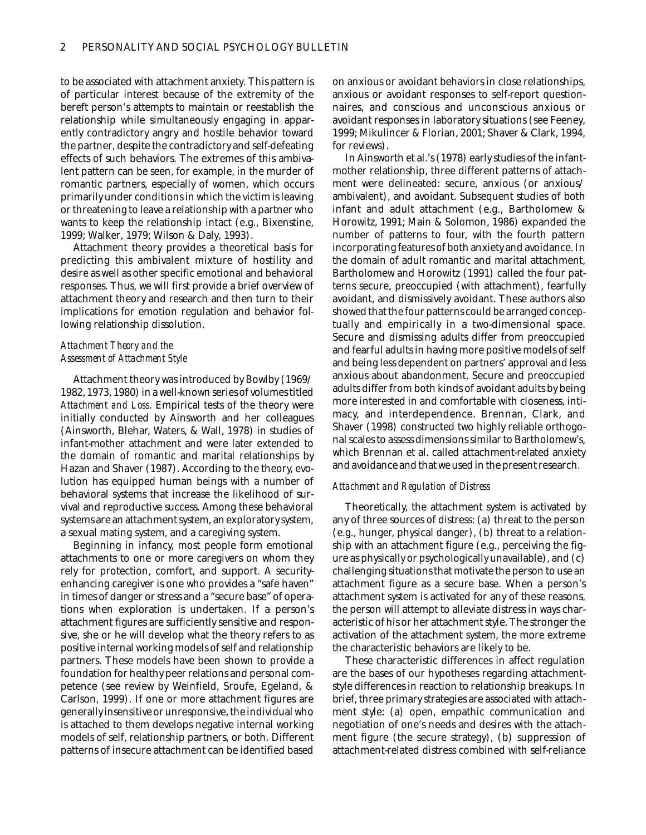to be associated with attachment anxiety. This pattern is of particular interest because of the extremity of the bereft person's attempts to maintain or reestablish the relationship while simultaneously engaging in apparently contradictory angry and hostile behavior toward the partner, despite the contradictory and self-defeating effects of such behaviors. The extremes of this ambivalent pattern can be seen, for example, in the murder of romantic partners, especially of women, which occurs primarily under conditions in which the victim is leaving or threatening to leave a relationship with a partner who wants to keep the relationship intact (e.g., Bixenstine, 1999; Walker, 1979; Wilson & Daly, 1993).

Attachment theory provides a theoretical basis for predicting this ambivalent mixture of hostility and desire as well as other specific emotional and behavioral responses. Thus, we will first provide a brief overview of attachment theory and research and then turn to their implications for emotion regulation and behavior following relationship dissolution.

# *Attachment Theory and the Assessment of Attachment Style*

Attachment theory was introduced by Bowlby (1969/ 1982, 1973, 1980) in a well-known series of volumes titled *Attachment and Loss*. Empirical tests of the theory were initially conducted by Ainsworth and her colleagues (Ainsworth, Blehar, Waters, & Wall, 1978) in studies of infant-mother attachment and were later extended to the domain of romantic and marital relationships by Hazan and Shaver (1987). According to the theory, evolution has equipped human beings with a number of behavioral systems that increase the likelihood of survival and reproductive success. Among these behavioral systems are an attachment system, an exploratory system, a sexual mating system, and a caregiving system.

Beginning in infancy, most people form emotional attachments to one or more caregivers on whom they rely for protection, comfort, and support. A securityenhancing caregiver is one who provides a "safe haven" in times of danger or stress and a "secure base" of operations when exploration is undertaken. If a person's attachment figures are sufficiently sensitive and responsive, she or he will develop what the theory refers to as positive internal working models of self and relationship partners. These models have been shown to provide a foundation for healthy peer relations and personal competence (see review by Weinfield, Sroufe, Egeland, & Carlson, 1999). If one or more attachment figures are generally insensitive or unresponsive, the individual who is attached to them develops negative internal working models of self, relationship partners, or both. Different patterns of insecure attachment can be identified based on anxious or avoidant behaviors in close relationships, anxious or avoidant responses to self-report questionnaires, and conscious and unconscious anxious or avoidant responses in laboratory situations (see Feeney, 1999; Mikulincer & Florian, 2001; Shaver & Clark, 1994, for reviews).

In Ainsworth et al.'s (1978) early studies of the infantmother relationship, three different patterns of attachment were delineated: secure, anxious (or anxious/ ambivalent), and avoidant. Subsequent studies of both infant and adult attachment (e.g., Bartholomew & Horowitz, 1991; Main & Solomon, 1986) expanded the number of patterns to four, with the fourth pattern incorporating features of both anxiety and avoidance. In the domain of adult romantic and marital attachment, Bartholomew and Horowitz (1991) called the four patterns secure, preoccupied (with attachment), fearfully avoidant, and dismissively avoidant. These authors also showed that the four patterns could be arranged conceptually and empirically in a two-dimensional space. Secure and dismissing adults differ from preoccupied and fearful adults in having more positive models of self and being less dependent on partners' approval and less anxious about abandonment. Secure and preoccupied adults differ from both kinds of avoidant adults by being more interested in and comfortable with closeness, intimacy, and interdependence. Brennan, Clark, and Shaver (1998) constructed two highly reliable orthogonal scales to assess dimensions similar to Bartholomew's, which Brennan et al. called attachment-related anxiety and avoidance and that we used in the present research.

## *Attachment and Regulation of Distress*

Theoretically, the attachment system is activated by any of three sources of distress: (a) threat to the person (e.g., hunger, physical danger), (b) threat to a relationship with an attachment figure (e.g., perceiving the figure as physically or psychologically unavailable), and (c) challenging situations that motivate the person to use an attachment figure as a secure base. When a person's attachment system is activated for any of these reasons, the person will attempt to alleviate distress in ways characteristic of his or her attachment style. The stronger the activation of the attachment system, the more extreme the characteristic behaviors are likely to be.

These characteristic differences in affect regulation are the bases of our hypotheses regarding attachmentstyle differences in reaction to relationship breakups. In brief, three primary strategies are associated with attachment style: (a) open, empathic communication and negotiation of one's needs and desires with the attachment figure (the secure strategy), (b) suppression of attachment-related distress combined with self-reliance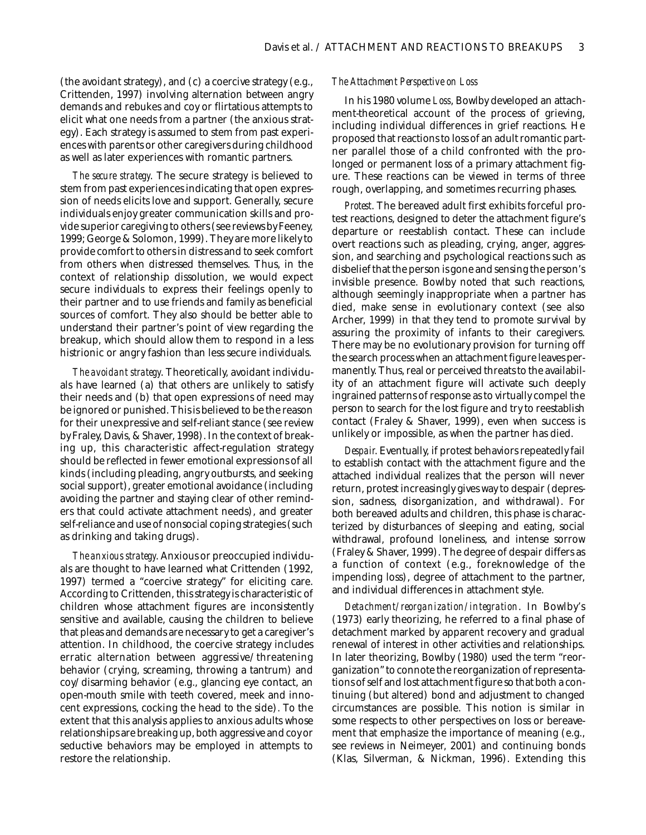(the avoidant strategy), and (c) a coercive strategy (e.g., Crittenden, 1997) involving alternation between angry demands and rebukes and coy or flirtatious attempts to elicit what one needs from a partner (the anxious strategy). Each strategy is assumed to stem from past experiences with parents or other caregivers during childhood as well as later experiences with romantic partners.

*The secure strategy*. The secure strategy is believed to stem from past experiences indicating that open expression of needs elicits love and support. Generally, secure individuals enjoy greater communication skills and provide superior caregiving to others (see reviews by Feeney, 1999; George & Solomon, 1999). They are more likely to provide comfort to others in distress and to seek comfort from others when distressed themselves. Thus, in the context of relationship dissolution, we would expect secure individuals to express their feelings openly to their partner and to use friends and family as beneficial sources of comfort. They also should be better able to understand their partner's point of view regarding the breakup, which should allow them to respond in a less histrionic or angry fashion than less secure individuals.

*The avoidant strategy*. Theoretically, avoidant individuals have learned (a) that others are unlikely to satisfy their needs and (b) that open expressions of need may be ignored or punished. This is believed to be the reason for their unexpressive and self-reliant stance (see review by Fraley, Davis, & Shaver, 1998). In the context of breaking up, this characteristic affect-regulation strategy should be reflected in fewer emotional expressions of all kinds (including pleading, angry outbursts, and seeking social support), greater emotional avoidance (including avoiding the partner and staying clear of other reminders that could activate attachment needs), and greater self-reliance and use of nonsocial coping strategies (such as drinking and taking drugs).

*The anxious strategy*. Anxious or preoccupied individuals are thought to have learned what Crittenden (1992, 1997) termed a "coercive strategy" for eliciting care. According to Crittenden, this strategy is characteristic of children whose attachment figures are inconsistently sensitive and available, causing the children to believe that pleas and demands are necessary to get a caregiver's attention. In childhood, the coercive strategy includes erratic alternation between aggressive/threatening behavior (crying, screaming, throwing a tantrum) and coy/disarming behavior (e.g., glancing eye contact, an open-mouth smile with teeth covered, meek and innocent expressions, cocking the head to the side). To the extent that this analysis applies to anxious adults whose relationships are breaking up, both aggressive and coy or seductive behaviors may be employed in attempts to restore the relationship.

#### *The Attachment Perspective on Loss*

In his 1980 volume *Loss*, Bowlby developed an attachment-theoretical account of the process of grieving, including individual differences in grief reactions. He proposed that reactions to loss of an adult romantic partner parallel those of a child confronted with the prolonged or permanent loss of a primary attachment figure. These reactions can be viewed in terms of three rough, overlapping, and sometimes recurring phases.

*Protest*. The bereaved adult first exhibits forceful protest reactions, designed to deter the attachment figure's departure or reestablish contact. These can include overt reactions such as pleading, crying, anger, aggression, and searching and psychological reactions such as disbelief that the person is gone and sensing the person's invisible presence. Bowlby noted that such reactions, although seemingly inappropriate when a partner has died, make sense in evolutionary context (see also Archer, 1999) in that they tend to promote survival by assuring the proximity of infants to their caregivers. There may be no evolutionary provision for turning off the search process when an attachment figure leaves permanently. Thus, real or perceived threats to the availability of an attachment figure will activate such deeply ingrained patterns of response as to virtually compel the person to search for the lost figure and try to reestablish contact (Fraley & Shaver, 1999), even when success is unlikely or impossible, as when the partner has died.

*Despair*. Eventually, if protest behaviors repeatedly fail to establish contact with the attachment figure and the attached individual realizes that the person will never return, protest increasingly gives way to despair (depression, sadness, disorganization, and withdrawal). For both bereaved adults and children, this phase is characterized by disturbances of sleeping and eating, social withdrawal, profound loneliness, and intense sorrow (Fraley & Shaver, 1999). The degree of despair differs as a function of context (e.g., foreknowledge of the impending loss), degree of attachment to the partner, and individual differences in attachment style.

*Detachment/reorganization/integration*. In Bowlby's (1973) early theorizing, he referred to a final phase of detachment marked by apparent recovery and gradual renewal of interest in other activities and relationships. In later theorizing, Bowlby (1980) used the term "reorganization" to connote the reorganization of representations of self and lost attachment figure so that both a continuing (but altered) bond and adjustment to changed circumstances are possible. This notion is similar in some respects to other perspectives on loss or bereavement that emphasize the importance of meaning (e.g., see reviews in Neimeyer, 2001) and continuing bonds (Klas, Silverman, & Nickman, 1996). Extending this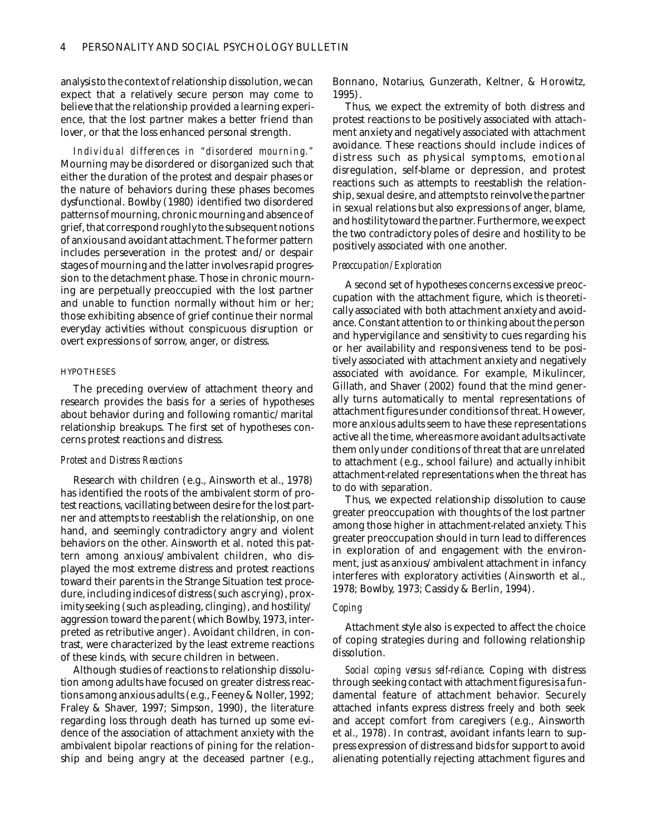analysis to the context of relationship dissolution, we can expect that a relatively secure person may come to believe that the relationship provided a learning experience, that the lost partner makes a better friend than lover, or that the loss enhanced personal strength.

*Individual differences in "disordered mourning."* Mourning may be disordered or disorganized such that either the duration of the protest and despair phases or the nature of behaviors during these phases becomes dysfunctional. Bowlby (1980) identified two disordered patterns of mourning, chronic mourning and absence of grief, that correspond roughly to the subsequent notions of anxious and avoidant attachment. The former pattern includes perseveration in the protest and/or despair stages of mourning and the latter involves rapid progression to the detachment phase. Those in chronic mourning are perpetually preoccupied with the lost partner and unable to function normally without him or her; those exhibiting absence of grief continue their normal everyday activities without conspicuous disruption or overt expressions of sorrow, anger, or distress.

# **HYPOTHESES**

The preceding overview of attachment theory and research provides the basis for a series of hypotheses about behavior during and following romantic/marital relationship breakups. The first set of hypotheses concerns protest reactions and distress.

# *Protest and Distress Reactions*

Research with children (e.g., Ainsworth et al., 1978) has identified the roots of the ambivalent storm of protest reactions, vacillating between desire for the lost partner and attempts to reestablish the relationship, on one hand, and seemingly contradictory angry and violent behaviors on the other. Ainsworth et al. noted this pattern among anxious/ambivalent children, who displayed the most extreme distress and protest reactions toward their parents in the Strange Situation test procedure, including indices of distress (such as crying), proximity seeking (such as pleading, clinging), and hostility/ aggression toward the parent (which Bowlby, 1973, interpreted as retributive anger). Avoidant children, in contrast, were characterized by the least extreme reactions of these kinds, with secure children in between.

Although studies of reactions to relationship dissolution among adults have focused on greater distress reactions among anxious adults (e.g., Feeney & Noller, 1992; Fraley & Shaver, 1997; Simpson, 1990), the literature regarding loss through death has turned up some evidence of the association of attachment anxiety with the ambivalent bipolar reactions of pining for the relationship and being angry at the deceased partner (e.g., Bonnano, Notarius, Gunzerath, Keltner, & Horowitz, 1995).

Thus, we expect the extremity of both distress and protest reactions to be positively associated with attachment anxiety and negatively associated with attachment avoidance. These reactions should include indices of distress such as physical symptoms, emotional disregulation, self-blame or depression, and protest reactions such as attempts to reestablish the relationship, sexual desire, and attempts to reinvolve the partner in sexual relations but also expressions of anger, blame, and hostility toward the partner. Furthermore, we expect the two contradictory poles of desire and hostility to be positively associated with one another.

## *Preoccupation/Exploration*

A second set of hypotheses concerns excessive preoccupation with the attachment figure, which is theoretically associated with both attachment anxiety and avoidance. Constant attention to or thinking about the person and hypervigilance and sensitivity to cues regarding his or her availability and responsiveness tend to be positively associated with attachment anxiety and negatively associated with avoidance. For example, Mikulincer, Gillath, and Shaver (2002) found that the mind generally turns automatically to mental representations of attachment figures under conditions of threat. However, more anxious adults seem to have these representations active all the time, whereas more avoidant adults activate them only under conditions of threat that are unrelated to attachment (e.g., school failure) and actually inhibit attachment-related representations when the threat has to do with separation.

Thus, we expected relationship dissolution to cause greater preoccupation with thoughts of the lost partner among those higher in attachment-related anxiety. This greater preoccupation should in turn lead to differences in exploration of and engagement with the environment, just as anxious/ambivalent attachment in infancy interferes with exploratory activities (Ainsworth et al., 1978; Bowlby, 1973; Cassidy & Berlin, 1994).

## *Coping*

Attachment style also is expected to affect the choice of coping strategies during and following relationship dissolution.

*Social coping versus self-reliance*. Coping with distress through seeking contact with attachment figures is a fundamental feature of attachment behavior. Securely attached infants express distress freely and both seek and accept comfort from caregivers (e.g., Ainsworth et al., 1978). In contrast, avoidant infants learn to suppress expression of distress and bids for support to avoid alienating potentially rejecting attachment figures and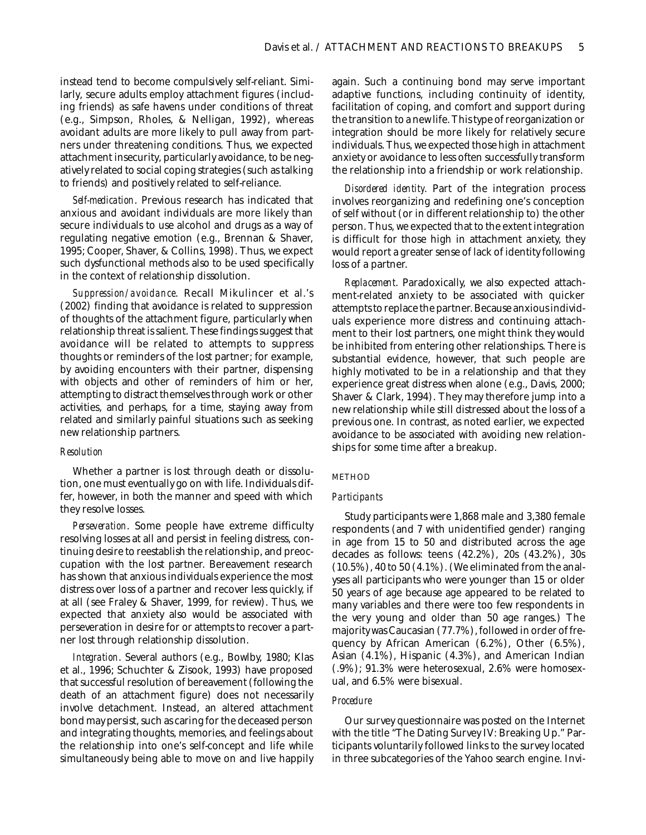instead tend to become compulsively self-reliant. Similarly, secure adults employ attachment figures (including friends) as safe havens under conditions of threat (e.g., Simpson, Rholes, & Nelligan, 1992), whereas avoidant adults are more likely to pull away from partners under threatening conditions. Thus, we expected attachment insecurity, particularly avoidance, to be negatively related to social coping strategies (such as talking to friends) and positively related to self-reliance.

*Self-medication*. Previous research has indicated that anxious and avoidant individuals are more likely than secure individuals to use alcohol and drugs as a way of regulating negative emotion (e.g., Brennan & Shaver, 1995; Cooper, Shaver, & Collins, 1998). Thus, we expect such dysfunctional methods also to be used specifically in the context of relationship dissolution.

*Suppression/avoidance*. Recall Mikulincer et al.'s (2002) finding that avoidance is related to suppression of thoughts of the attachment figure, particularly when relationship threat is salient. These findings suggest that avoidance will be related to attempts to suppress thoughts or reminders of the lost partner; for example, by avoiding encounters with their partner, dispensing with objects and other of reminders of him or her, attempting to distract themselves through work or other activities, and perhaps, for a time, staying away from related and similarly painful situations such as seeking new relationship partners.

# *Resolution*

Whether a partner is lost through death or dissolution, one must eventually go on with life. Individuals differ, however, in both the manner and speed with which they resolve losses.

*Perseveration*. Some people have extreme difficulty resolving losses at all and persist in feeling distress, continuing desire to reestablish the relationship, and preoccupation with the lost partner. Bereavement research has shown that anxious individuals experience the most distress over loss of a partner and recover less quickly, if at all (see Fraley & Shaver, 1999, for review). Thus, we expected that anxiety also would be associated with perseveration in desire for or attempts to recover a partner lost through relationship dissolution.

*Integration*. Several authors (e.g., Bowlby, 1980; Klas et al., 1996; Schuchter & Zisook, 1993) have proposed that successful resolution of bereavement (following the death of an attachment figure) does not necessarily involve detachment. Instead, an altered attachment bond may persist, such as caring for the deceased person and integrating thoughts, memories, and feelings about the relationship into one's self-concept and life while simultaneously being able to move on and live happily again. Such a continuing bond may serve important adaptive functions, including continuity of identity, facilitation of coping, and comfort and support during the transition to a new life. This type of reorganization or integration should be more likely for relatively secure individuals. Thus, we expected those high in attachment anxiety or avoidance to less often successfully transform the relationship into a friendship or work relationship.

*Disordered identity*. Part of the integration process involves reorganizing and redefining one's conception of self without (or in different relationship to) the other person. Thus, we expected that to the extent integration is difficult for those high in attachment anxiety, they would report a greater sense of lack of identity following loss of a partner.

*Replacement*. Paradoxically, we also expected attachment-related anxiety to be associated with quicker attempts to replace the partner. Because anxious individuals experience more distress and continuing attachment to their lost partners, one might think they would be inhibited from entering other relationships. There is substantial evidence, however, that such people are highly motivated to be in a relationship and that they experience great distress when alone (e.g., Davis, 2000; Shaver & Clark, 1994). They may therefore jump into a new relationship while still distressed about the loss of a previous one. In contrast, as noted earlier, we expected avoidance to be associated with avoiding new relationships for some time after a breakup.

### METHOD

#### *Participants*

Study participants were 1,868 male and 3,380 female respondents (and 7 with unidentified gender) ranging in age from 15 to 50 and distributed across the age decades as follows: teens (42.2%), 20s (43.2%), 30s (10.5%), 40 to 50 (4.1%). (We eliminated from the analyses all participants who were younger than 15 or older 50 years of age because age appeared to be related to many variables and there were too few respondents in the very young and older than 50 age ranges.) The majority was Caucasian (77.7%), followed in order of frequency by African American (6.2%), Other (6.5%), Asian (4.1%), Hispanic (4.3%), and American Indian (.9%); 91.3% were heterosexual, 2.6% were homosexual, and 6.5% were bisexual.

## *Procedure*

Our survey questionnaire was posted on the Internet with the title "The Dating Survey IV: Breaking Up." Participants voluntarily followed links to the survey located in three subcategories of the Yahoo search engine. Invi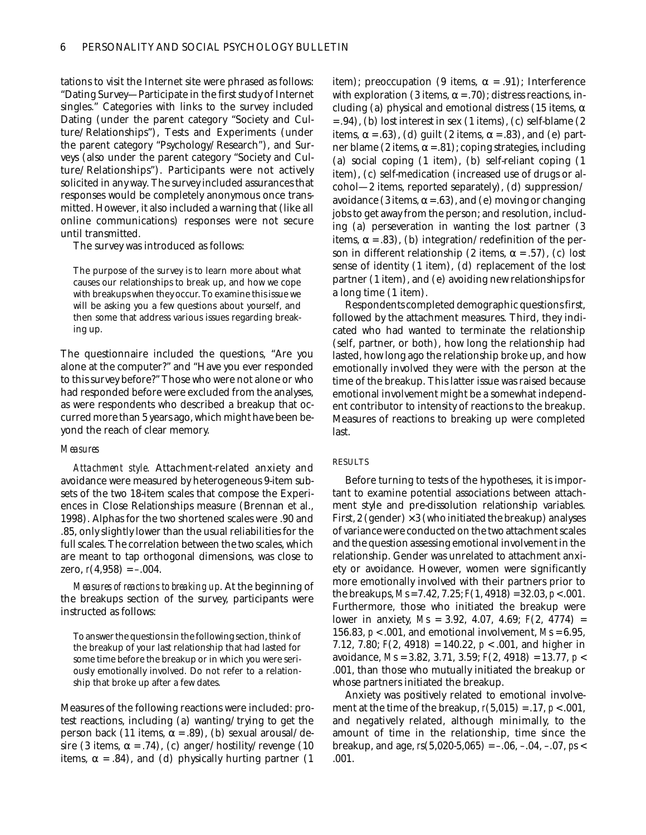tations to visit the Internet site were phrased as follows: "Dating Survey—Participate in the first study of Internet singles." Categories with links to the survey included Dating (under the parent category "Society and Culture/Relationships"), Tests and Experiments (under the parent category "Psychology/Research"), and Surveys (also under the parent category "Society and Culture/Relationships"). Participants were not actively solicited in any way. The survey included assurances that responses would be completely anonymous once transmitted. However, it also included a warning that (like all online communications) responses were not secure until transmitted.

The survey was introduced as follows:

The purpose of the survey is to learn more about what causes our relationships to break up, and how we cope with breakups when they occur. To examine this issue we will be asking you a few questions about yourself, and then some that address various issues regarding breaking up.

The questionnaire included the questions, "Are you alone at the computer?" and "Have you ever responded to this survey before?" Those who were not alone or who had responded before were excluded from the analyses, as were respondents who described a breakup that occurred more than 5 years ago, which might have been beyond the reach of clear memory.

#### *Measures*

*Attachment style*. Attachment-related anxiety and avoidance were measured by heterogeneous 9-item subsets of the two 18-item scales that compose the Experiences in Close Relationships measure (Brennan et al., 1998). Alphas for the two shortened scales were .90 and .85, only slightly lower than the usual reliabilities for the full scales. The correlation between the two scales, which are meant to tap orthogonal dimensions, was close to zero,  $r(4,958) = -.004$ .

*Measures of reactions to breaking up*. At the beginning of the breakups section of the survey, participants were instructed as follows:

To answer the questions in the following section, think of the breakup of your last relationship that had lasted for some time before the breakup or in which you were seriously emotionally involved. Do not refer to a relationship that broke up after a few dates.

Measures of the following reactions were included: protest reactions, including (a) wanting/trying to get the person back (11 items, α = .89), (b) sexual arousal/desire (3 items,  $\alpha$  = .74), (c) anger/hostility/revenge (10 items,  $\alpha = .84$ ), and (d) physically hurting partner (1 item); preoccupation (9 items,  $\alpha$  = .91); Interference with exploration (3 items,  $\alpha$  = .70); distress reactions, including (a) physical and emotional distress (15 items,  $\alpha$ ) = .94), (b) lost interest in sex (1 items), (c) self-blame (2 items,  $\alpha$  = .63), (d) guilt (2 items,  $\alpha$  = .83), and (e) partner blame (2 items,  $\alpha = .81$ ); coping strategies, including (a) social coping (1 item), (b) self-reliant coping (1 item), (c) self-medication (increased use of drugs or alcohol—2 items, reported separately), (d) suppression/ avoidance (3 items,  $\alpha$  = .63), and (e) moving or changing jobs to get away from the person; and resolution, including (a) perseveration in wanting the lost partner (3 items,  $\alpha$  = .83), (b) integration/redefinition of the person in different relationship (2 items,  $\alpha$  = .57), (c) lost sense of identity (1 item), (d) replacement of the lost partner (1 item), and (e) avoiding new relationships for a long time (1 item).

Respondents completed demographic questions first, followed by the attachment measures. Third, they indicated who had wanted to terminate the relationship (self, partner, or both), how long the relationship had lasted, how long ago the relationship broke up, and how emotionally involved they were with the person at the time of the breakup. This latter issue was raised because emotional involvement might be a somewhat independent contributor to intensity of reactions to the breakup. Measures of reactions to breaking up were completed last.

#### RESULTS

Before turning to tests of the hypotheses, it is important to examine potential associations between attachment style and pre-dissolution relationship variables. First, 2 (gender)  $\times$  3 (who initiated the breakup) analyses of variance were conducted on the two attachment scales and the question assessing emotional involvement in the relationship. Gender was unrelated to attachment anxiety or avoidance. However, women were significantly more emotionally involved with their partners prior to the breakups, *M*s = 7.42, 7.25; *F*(1, 4918) = 32.03, *p* < .001. Furthermore, those who initiated the breakup were lower in anxiety, *M*s = 3.92, 4.07, 4.69; *F*(2, 4774) = 156.83, *p* < .001, and emotional involvement, *M*s = 6.95, 7.12, 7.80; *F*(2, 4918) = 140.22, *p* < .001, and higher in avoidance, *M*s = 3.82, 3.71, 3.59; *F*(2, 4918) = 13.77, *p* < .001, than those who mutually initiated the breakup or whose partners initiated the breakup.

Anxiety was positively related to emotional involvement at the time of the breakup, *r*(5,015) = .17, *p* < .001, and negatively related, although minimally, to the amount of time in the relationship, time since the breakup, and age, *r*s(5,020-5,065) = –.06, –.04, –.07, *p*s < .001.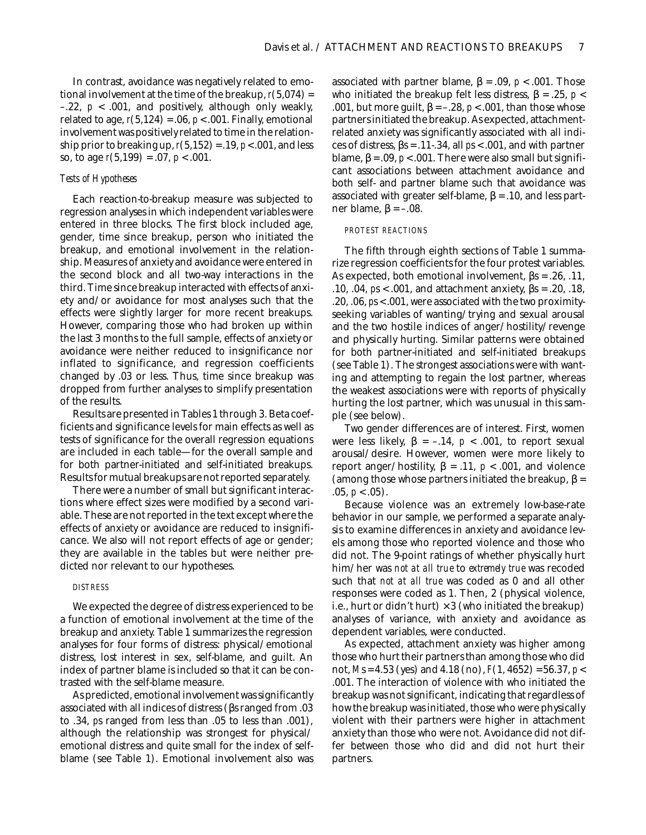In contrast, avoidance was negatively related to emotional involvement at the time of the breakup, *r*(5,074) = –.22, *p* < .001, and positively, although only weakly, related to age, *r*(5,124) = .06, *p* < .001. Finally, emotional involvement was positively related to time in the relationship prior to breaking up,  $r(5,152) = .19$ ,  $p < .001$ , and less so, to age *r*(5,199) = .07, *p* < .001.

# *Tests of Hypotheses*

Each reaction-to-breakup measure was subjected to regression analyses in which independent variables were entered in three blocks. The first block included age, gender, time since breakup, person who initiated the breakup, and emotional involvement in the relationship. Measures of anxiety and avoidance were entered in the second block and all two-way interactions in the third. Time since breakup interacted with effects of anxiety and/or avoidance for most analyses such that the effects were slightly larger for more recent breakups. However, comparing those who had broken up within the last 3 months to the full sample, effects of anxiety or avoidance were neither reduced to insignificance nor inflated to significance, and regression coefficients changed by .03 or less. Thus, time since breakup was dropped from further analyses to simplify presentation of the results.

Results are presented in Tables 1 through 3. Beta coefficients and significance levels for main effects as well as tests of significance for the overall regression equations are included in each table—for the overall sample and for both partner-initiated and self-initiated breakups. Results for mutual breakups are not reported separately.

There were a number of small but significant interactions where effect sizes were modified by a second variable. These are not reported in the text except where the effects of anxiety or avoidance are reduced to insignificance. We also will not report effects of age or gender; they are available in the tables but were neither predicted nor relevant to our hypotheses.

#### *DISTRESS*

We expected the degree of distress experienced to be a function of emotional involvement at the time of the breakup and anxiety. Table 1 summarizes the regression analyses for four forms of distress: physical/emotional distress, lost interest in sex, self-blame, and guilt. An index of partner blame is included so that it can be contrasted with the self-blame measure.

As predicted, emotional involvement was significantly associated with all indices of distress (βs ranged from .03 to .34, *p*s ranged from less than .05 to less than .001), although the relationship was strongest for physical/ emotional distress and quite small for the index of selfblame (see Table 1). Emotional involvement also was associated with partner blame,  $β = .09$ ,  $p < .001$ . Those who initiated the breakup felt less distress,  $β = .25$ ,  $p <$ .001, but more guilt,  $\beta$  = -.28,  $p$  < .001, than those whose partners initiated the breakup. As expected, attachmentrelated anxiety was significantly associated with all indices of distress, βs = .11-.34, all *p*s < .001, and with partner blame,  $\beta = .09$ ,  $p < .001$ . There were also small but significant associations between attachment avoidance and both self- and partner blame such that avoidance was associated with greater self-blame,  $β = .10$ , and less partner blame,  $β = -.08$ .

#### *PROTEST REACTIONS*

The fifth through eighth sections of Table 1 summarize regression coefficients for the four protest variables. As expected, both emotional involvement,  $βs = .26, .11,$ .10, .04, *p*s < .001, and attachment anxiety, βs = .20, .18, .20, .06, *p*s < .001, were associated with the two proximityseeking variables of wanting/trying and sexual arousal and the two hostile indices of anger/hostility/revenge and physically hurting. Similar patterns were obtained for both partner-initiated and self-initiated breakups (see Table 1). The strongest associations were with wanting and attempting to regain the lost partner, whereas the weakest associations were with reports of physically hurting the lost partner, which was unusual in this sample (see below).

Two gender differences are of interest. First, women were less likely,  $\beta = -.14$ ,  $p < .001$ , to report sexual arousal/desire. However, women were more likely to report anger/hostility,  $β = .11$ ,  $p < .001$ , and violence (among those whose partners initiated the breakup,  $\beta$  = .05,  $p < .05$ ).

Because violence was an extremely low-base-rate behavior in our sample, we performed a separate analysis to examine differences in anxiety and avoidance levels among those who reported violence and those who did not. The 9-point ratings of whether physically hurt him/her was *not at all true* to *extremely true* was recoded such that *not at all true* was coded as 0 and all other responses were coded as 1. Then, 2 (physical violence, i.e., hurt or didn't hurt)  $\times$  3 (who initiated the breakup) analyses of variance, with anxiety and avoidance as dependent variables, were conducted.

As expected, attachment anxiety was higher among those who hurt their partners than among those who did not, *M*s = 4.53 (yes) and 4.18 (no), *F*(1, 4652) = 56.37, *p* < .001. The interaction of violence with who initiated the breakup was not significant, indicating that regardless of how the breakup was initiated, those who were physically violent with their partners were higher in attachment anxiety than those who were not. Avoidance did not differ between those who did and did not hurt their partners.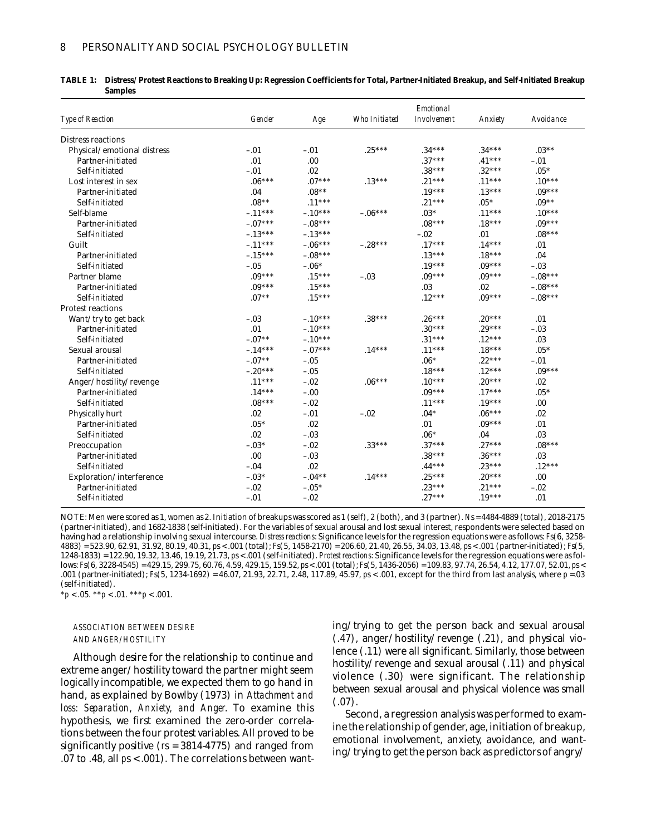# 8 PERSONALITY AND SOCIAL PSYCHOLOGY BULLETIN

|                             |               |           |               | <b>Emotional</b>   |                |           |
|-----------------------------|---------------|-----------|---------------|--------------------|----------------|-----------|
| <b>Type of Reaction</b>     | <b>Gender</b> | Age       | Who Initiated | <b>Involvement</b> | <b>Anxiety</b> | Avoidance |
| Distress reactions          |               |           |               |                    |                |           |
| Physical/emotional distress | $-.01$        | $-.01$    | $.25***$      | $.34***$           | $.34***$       | $.03**$   |
| Partner-initiated           | .01           | .00       |               | $.37***$           | $.41***$       | $-.01$    |
| Self-initiated              | $-.01$        | .02       |               | $.38***$           | $.32***$       | $.05*$    |
| Lost interest in sex        | $.06***$      | $.07***$  | $.13***$      | $.21***$           | $.11***$       | $.10***$  |
| Partner-initiated           | .04           | $.08**$   |               | $.19***$           | $.13***$       | $.09***$  |
| Self-initiated              | $.08**$       | $.11***$  |               | $.21***$           | $.05*$         | $.09**$   |
| Self-blame                  | $-.11***$     | $-.10***$ | $-.06***$     | $.03*$             | $.11***$       | $.10***$  |
| Partner-initiated           | $-.07***$     | $-.08***$ |               | $.08***$           | $.18***$       | $.09***$  |
| Self-initiated              | $-.13***$     | $-.13***$ |               | $-.02$             | .01            | $.08***$  |
| Guilt                       | $-.11***$     | $-.06***$ | $-.28***$     | $.17***$           | $.14***$       | .01       |
| Partner-initiated           | $-.15***$     | $-.08***$ |               | $.13***$           | $.18***$       | .04       |
| Self-initiated              | $-.05$        | $-.06*$   |               | $.19***$           | $.09***$       | $-.03$    |
| Partner blame               | $.09***$      | $.15***$  | $-.03$        | $.09***$           | $.09***$       | $-.08***$ |
| Partner-initiated           | $.09***$      | $.15***$  |               | .03                | .02            | $-.08***$ |
| Self-initiated              | $.07**$       | $.15***$  |               | $.12***$           | $.09***$       | $-.08***$ |
| Protest reactions           |               |           |               |                    |                |           |
| Want/try to get back        | $-.03$        | $-.10***$ | $.38***$      | $.26***$           | $.20***$       | .01       |
| Partner-initiated           | .01           | $-.10***$ |               | $.30***$           | $.29***$       | $-.03$    |
| Self-initiated              | $-.07**$      | $-.10***$ |               | $.31***$           | $.12***$       | .03       |
| Sexual arousal              | $-.14***$     | $-.07***$ | $.14***$      | $.11***$           | $.18***$       | $.05*$    |
| Partner-initiated           | $-.07**$      | $-.05$    |               | $.06*$             | $.22***$       | $-.01$    |
| Self-initiated              | $-.20***$     | $-.05$    |               | $.18***$           | $.12***$       | $.09***$  |
| Anger/hostility/revenge     | $.11***$      | $-.02$    | $.06***$      | $.10***$           | $.20***$       | .02       |
| Partner-initiated           | $.14***$      | $-.00$    |               | $.09***$           | $.17***$       | $.05*$    |
| Self-initiated              | $.08***$      | $-.02$    |               | $.11***$           | $.19***$       | .00.      |
| Physically hurt             | .02           | $-.01$    | $-.02$        | $.04*$             | $.06***$       | .02       |
| Partner-initiated           | $.05*$        | .02       |               | .01                | $.09***$       | .01       |
| Self-initiated              | .02           | $-.03$    |               | $.06*$             | .04            | .03       |
| Preoccupation               | $-.03*$       | $-.02$    | $.33***$      | $.37***$           | $.27***$       | $.08***$  |
| Partner-initiated           | .00           | $-.03$    |               | $.38***$           | $.36***$       | .03       |
| Self-initiated              | $-.04$        | .02       |               | $.44***$           | $.23***$       | $.12***$  |
| Exploration/interference    | $-.03*$       | $-.04**$  | $.14***$      | $.25***$           | $.20***$       | .00.      |
| Partner-initiated           | $-.02$        | $-.05*$   |               | $.23***$           | $.21***$       | $-.02$    |
| Self-initiated              | $-.01$        | $-.02$    |               | $.27***$           | $.19***$       | .01       |

| TABLE 1: Distress/Protest Reactions to Breaking Up: Regression Coefficients for Total, Partner-Initiated Breakup, and Self-Initiated Breakup |
|----------------------------------------------------------------------------------------------------------------------------------------------|
| <b>Samples</b>                                                                                                                               |

NOTE: Men were scored as 1, women as 2. Initiation of breakups was scored as 1 (self), 2 (both), and 3 (partner). *N*s = 4484-4889 (total), 2018-2175 (partner-initiated), and 1682-1838 (self-initiated). For the variables of sexual arousal and lost sexual interest, respondents were selected based on having had a relationship involving sexual intercourse. *Distress reactions*: Significance levels for the regression equations were as follows: *F*s(6, 3258- 4883) = 523.90, 62.91, 31.92, 80.19, 40.31, *p*s < .001 (total); *F*s(5, 1458-2170) = 206.60, 21.40, 26.55, 34.03, 13.48, *p*s < .001 (partner-initiated); *F*s(5, 1248-1833) = 122.90, 19.32, 13.46, 19.19, 21.73, *p*s < .001 (self-initiated). *Protest reactions*: Significance levels for the regression equations were as follows: *F*s(6, 3228-4545) = 429.15, 299.75, 60.76, 4.59, 429.15, 159.52, *p*s < .001 (total); *F*s(5, 1436-2056) = 109.83, 97.74, 26.54, 4.12, 177.07, 52.01, *p*s < .001 (partner-initiated); *F*s(5, 1234-1692) = 46.07, 21.93, 22.71, 2.48, 117.89, 45.97, *p*s < .001, except for the third from last analysis, where *p* =.03 (self-initiated).

\**p* < .05. \*\**p* < .01. \*\*\**p* < .001.

# *ASSOCIATION BETWEEN DESIRE AND ANGER/HOSTILITY*

Although desire for the relationship to continue and extreme anger/hostility toward the partner might seem logically incompatible, we expected them to go hand in hand, as explained by Bowlby (1973) in *Attachment and loss: Separation, Anxiety, and Anger*. To examine this hypothesis, we first examined the zero-order correlations between the four protest variables. All proved to be significantly positive (*r*s = 3814-4775) and ranged from .07 to .48, all *p*s < .001). The correlations between wanting/trying to get the person back and sexual arousal (.47), anger/hostility/revenge (.21), and physical violence (.11) were all significant. Similarly, those between hostility/revenge and sexual arousal (.11) and physical violence (.30) were significant. The relationship between sexual arousal and physical violence was small (.07).

Second, a regression analysis was performed to examine the relationship of gender, age, initiation of breakup, emotional involvement, anxiety, avoidance, and wanting/trying to get the person back as predictors of angry/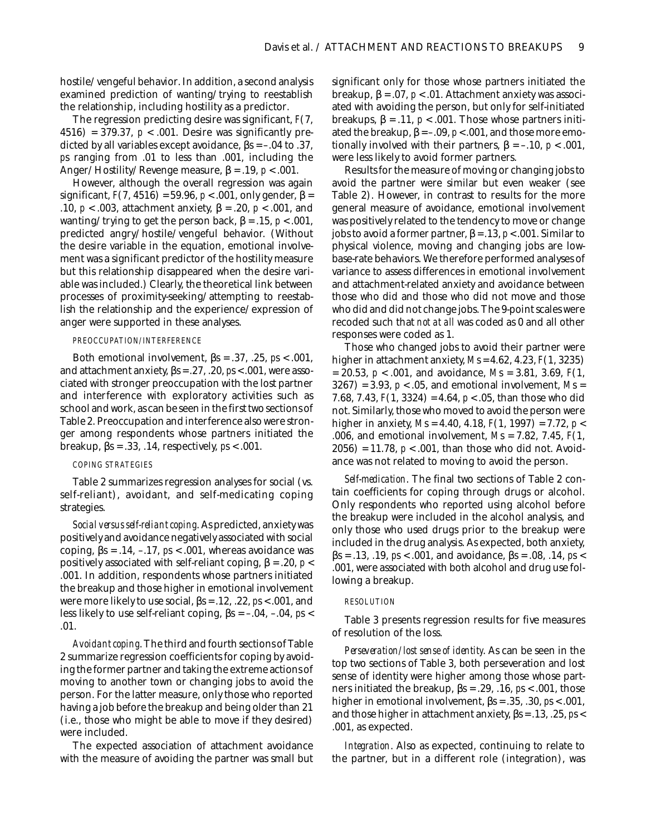hostile/vengeful behavior. In addition, a second analysis examined prediction of wanting/trying to reestablish the relationship, including hostility as a predictor.

The regression predicting desire was significant, *F*(7, 4516) = 379.37,  $p < .001$ . Desire was significantly predicted by all variables except avoidance,  $\beta s = -.04$  to .37, *p*s ranging from .01 to less than .001, including the Anger/Hostility/Revenge measure,  $β = .19$ ,  $p < .001$ .

However, although the overall regression was again significant,  $F(7, 4516) = 59.96$ ,  $p < .001$ , only gender,  $β =$ .10, *p* < .003, attachment anxiety, β = .20, *p* < .001, and wanting/trying to get the person back,  $β = .15$ ,  $p < .001$ , predicted angry/hostile/vengeful behavior. (Without the desire variable in the equation, emotional involvement was a significant predictor of the hostility measure but this relationship disappeared when the desire variable was included.) Clearly, the theoretical link between processes of proximity-seeking/attempting to reestablish the relationship and the experience/expression of anger were supported in these analyses.

#### *PREOCCUPATION/INTERFERENCE*

Both emotional involvement, βs = .37, .25, *p*s < .001, and attachment anxiety, βs = .27, .20, *p*s < .001, were associated with stronger preoccupation with the lost partner and interference with exploratory activities such as school and work, as can be seen in the first two sections of Table 2. Preoccupation and interference also were stronger among respondents whose partners initiated the breakup, βs = .33, .14, respectively, *p*s < .001.

## *COPING STRATEGIES*

Table 2 summarizes regression analyses for social (vs. self-reliant), avoidant, and self-medicating coping strategies.

*Social versus self-reliant coping*. As predicted, anxiety was positively and avoidance negatively associated with social coping,  $βs = .14, -.17, ps < .001$ , whereas avoidance was positively associated with self-reliant coping, β = .20, *p* < .001. In addition, respondents whose partners initiated the breakup and those higher in emotional involvement were more likely to use social, βs = .12, .22, *p*s < .001, and less likely to use self-reliant coping, βs = –.04, –.04, *p*s < .01.

*Avoidant coping*. The third and fourth sections of Table 2 summarize regression coefficients for coping by avoiding the former partner and taking the extreme actions of moving to another town or changing jobs to avoid the person. For the latter measure, only those who reported having a job before the breakup and being older than 21 (i.e., those who might be able to move if they desired) were included.

The expected association of attachment avoidance with the measure of avoiding the partner was small but significant only for those whose partners initiated the breakup, β = .07, *p* < .01. Attachment anxiety was associated with avoiding the person, but only for self-initiated breakups, β = .11, *p* < .001. Those whose partners initiated the breakup,  $β = -.09$ ,  $p < .001$ , and those more emotionally involved with their partners,  $\beta$  = -.10, *p* < .001, were less likely to avoid former partners.

Results for the measure of moving or changing jobs to avoid the partner were similar but even weaker (see Table 2). However, in contrast to results for the more general measure of avoidance, emotional involvement was positively related to the tendency to move or change jobs to avoid a former partner, β = .13, *p* < .001. Similar to physical violence, moving and changing jobs are lowbase-rate behaviors. We therefore performed analyses of variance to assess differences in emotional involvement and attachment-related anxiety and avoidance between those who did and those who did not move and those who did and did not change jobs. The 9-point scales were recoded such that *not at all* was coded as 0 and all other responses were coded as 1.

Those who changed jobs to avoid their partner were higher in attachment anxiety, *M*s = 4.62, 4.23, *F*(1, 3235) = 20.53, *p* < .001, and avoidance, *M*s = 3.81, 3.69, *F*(1, 3267) = 3.93, *p* < .05, and emotional involvement, *M*s = 7.68, 7.43, *F*(1, 3324) = 4.64, *p* < .05, than those who did not. Similarly, those who moved to avoid the person were higher in anxiety, *M*s = 4.40, 4.18, *F*(1, 1997) = 7.72, *p* < .006, and emotional involvement, *M*s = 7.82, 7.45, *F*(1, 2056) = 11.78,  $p < .001$ , than those who did not. Avoidance was not related to moving to avoid the person.

*Self-medication*. The final two sections of Table 2 contain coefficients for coping through drugs or alcohol. Only respondents who reported using alcohol before the breakup were included in the alcohol analysis, and only those who used drugs prior to the breakup were included in the drug analysis. As expected, both anxiety, βs = .13, .19, *p*s < .001, and avoidance, βs = .08, .14, *p*s < .001, were associated with both alcohol and drug use following a breakup.

#### *RESOLUTION*

Table 3 presents regression results for five measures of resolution of the loss.

*Perseveration/lost sense of identity*. As can be seen in the top two sections of Table 3, both perseveration and lost sense of identity were higher among those whose partners initiated the breakup, βs = .29, .16, *p*s < .001, those higher in emotional involvement, βs = .35, .30, *p*s < .001, and those higher in attachment anxiety, βs = .13, .25, *p*s < .001, as expected.

*Integration*. Also as expected, continuing to relate to the partner, but in a different role (integration), was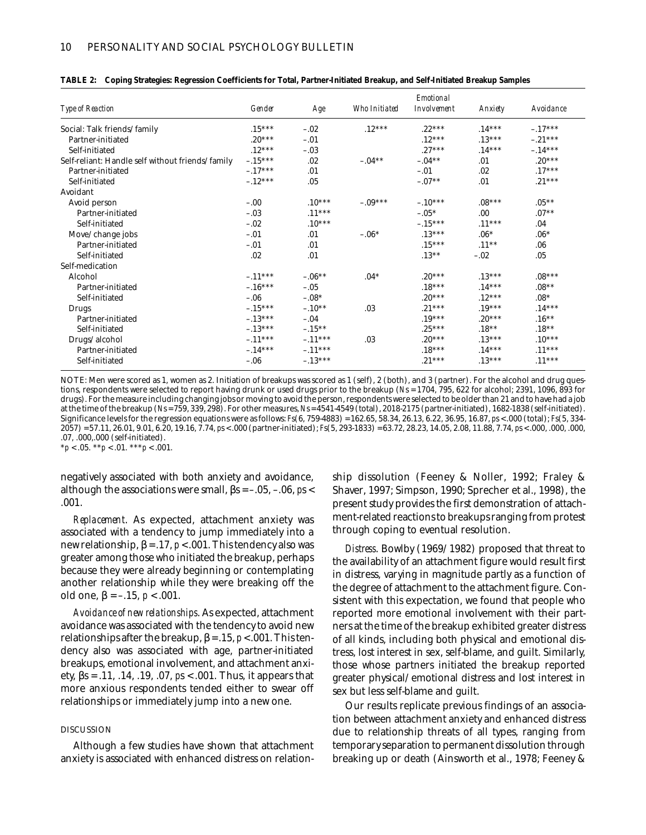| <b>Type of Reaction</b>                          | Gender    | Age       | Who Initiated | <b>Emotional</b><br><b>Involvement</b> | <i><b>Anxiety</b></i> | Avoidance |
|--------------------------------------------------|-----------|-----------|---------------|----------------------------------------|-----------------------|-----------|
| Social: Talk friends/family                      | $.15***$  | $-.02$    | $.12***$      | $.22***$                               | $.14***$              | $-.17***$ |
| Partner-initiated                                | $.20***$  | $-.01$    |               | $.12***$                               | $.13***$              | $-.21***$ |
| Self-initiated                                   | $.12***$  | $-.03$    |               | $.27***$                               | $.14***$              | $-.14***$ |
| Self-reliant: Handle self without friends/family | $-.15***$ | .02       | $-.04**$      | $-.04**$                               | .01                   | $.20***$  |
| Partner-initiated                                | $-.17***$ | .01       |               | $-.01$                                 | .02                   | $.17***$  |
| Self-initiated                                   | $-.12***$ | .05       |               | $-.07**$                               | .01                   | $.21***$  |
| Avoidant                                         |           |           |               |                                        |                       |           |
| Avoid person                                     | $-.00$    | $.10***$  | $-.09***$     | $-.10***$                              | $.08***$              | $.05***$  |
| Partner-initiated                                | $-.03$    | $.11***$  |               | $-.05*$                                | .00.                  | $.07**$   |
| Self-initiated                                   | $-.02$    | $.10***$  |               | $-.15***$                              | $.11***$              | .04       |
| Move/change jobs                                 | $-.01$    | .01       | $-.06*$       | $.13***$                               | $.06*$                | $.06*$    |
| Partner-initiated                                | $-.01$    | .01       |               | $.15***$                               | $.11**$               | 06.       |
| Self-initiated                                   | .02       | .01       |               | $.13***$                               | $-.02$                | .05       |
| Self-medication                                  |           |           |               |                                        |                       |           |
| Alcohol                                          | $-.11***$ | $-.06**$  | $.04*$        | $.20***$                               | $.13***$              | $.08***$  |
| Partner-initiated                                | $-.16***$ | $-.05$    |               | $.18***$                               | $.14***$              | $.08**$   |
| Self-initiated                                   | $-.06$    | $-.08*$   |               | $.20***$                               | $.12***$              | $.08*$    |
| Drugs                                            | $-.15***$ | $-.10**$  | .03           | $.21***$                               | $.19***$              | $.14***$  |
| Partner-initiated                                | $-.13***$ | $-.04$    |               | $.19***$                               | $.20***$              | $.16**$   |
| Self-initiated                                   | $-.13***$ | $-.15**$  |               | $.25***$                               | $.18**$               | $.18**$   |
| Drugs/alcohol                                    | $-.11***$ | $-.11***$ | .03           | $.20***$                               | $.13***$              | $.10***$  |
| Partner-initiated                                | $-.14***$ | $-.11***$ |               | $.18***$                               | $.14***$              | $.11***$  |
| Self-initiated                                   | $-0.06$   | $-.13***$ |               | $.21***$                               | $.13***$              | $.11***$  |

**TABLE 2: Coping Strategies: Regression Coefficients for Total, Partner-Initiated Breakup, and Self-Initiated Breakup Samples**

NOTE: Men were scored as 1, women as 2. Initiation of breakups was scored as 1 (self), 2 (both), and 3 (partner). For the alcohol and drug questions, respondents were selected to report having drunk or used drugs prior to the breakup (*N*s = 1704, 795, 622 for alcohol; 2391, 1096, 893 for drugs). For the measure including changing jobs or moving to avoid the person, respondents were selected to be older than 21 and to have had a job at the time of the breakup (*N*s = 759, 339, 298). For other measures, *N*s = 4541-4549 (total), 2018-2175 (partner-initiated), 1682-1838 (self-initiated). Significance levels for the regression equations were as follows: *F*s(6, 759-4883) = 162.65, 58.34, 26.13, 6.22, 36.95, 16.87, *p*s < .000 (total); *F*s(5, 334- 2057) = 57.11, 26.01, 9.01, 6.20, 19.16, 7.74, *p*s < .000 (partner-initiated); *F*s(5, 293-1833) = 63.72, 28.23, 14.05, 2.08, 11.88, 7.74, *p*s < .000, .000, .000, .07, .000,.000 (self-initiated).

\**p* < .05. \*\**p* < .01. \*\*\**p* < .001.

negatively associated with both anxiety and avoidance, although the associations were small, βs = –.05, –.06, *p*s < .001.

*Replacement*. As expected, attachment anxiety was associated with a tendency to jump immediately into a new relationship,  $β = .17$ ,  $p < .001$ . This tendency also was greater among those who initiated the breakup, perhaps because they were already beginning or contemplating another relationship while they were breaking off the old one, β = –.15, *p* < .001.

*Avoidance of new relationships*. As expected, attachment avoidance was associated with the tendency to avoid new relationships after the breakup,  $β = 0.15$ ,  $p < 0.001$ . This tendency also was associated with age, partner-initiated breakups, emotional involvement, and attachment anxiety, βs = .11, .14, .19, .07, *p*s < .001. Thus, it appears that more anxious respondents tended either to swear off relationships or immediately jump into a new one.

## DISCUSSION

Although a few studies have shown that attachment anxiety is associated with enhanced distress on relationship dissolution (Feeney & Noller, 1992; Fraley & Shaver, 1997; Simpson, 1990; Sprecher et al., 1998), the present study provides the first demonstration of attachment-related reactions to breakups ranging from protest through coping to eventual resolution.

*Distress*. Bowlby (1969/1982) proposed that threat to the availability of an attachment figure would result first in distress, varying in magnitude partly as a function of the degree of attachment to the attachment figure. Consistent with this expectation, we found that people who reported more emotional involvement with their partners at the time of the breakup exhibited greater distress of all kinds, including both physical and emotional distress, lost interest in sex, self-blame, and guilt. Similarly, those whose partners initiated the breakup reported greater physical/emotional distress and lost interest in sex but less self-blame and guilt.

Our results replicate previous findings of an association between attachment anxiety and enhanced distress due to relationship threats of all types, ranging from temporary separation to permanent dissolution through breaking up or death (Ainsworth et al., 1978; Feeney &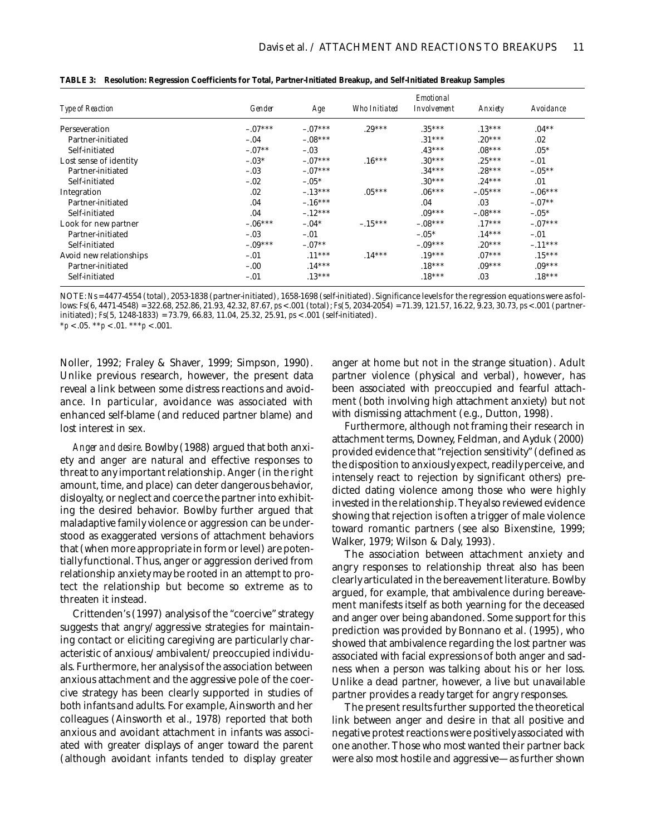| <b>Type of Reaction</b> | Gender    | Age       | Who Initiated | Emotional<br><b>Involvement</b> | <b>Anxiety</b> | Avoidance |
|-------------------------|-----------|-----------|---------------|---------------------------------|----------------|-----------|
| Perseveration           | $-.07***$ | $-.07***$ | $.29***$      | $.35***$                        | $.13***$       | $.04**$   |
| Partner-initiated       | $-.04$    | $-.08***$ |               | $.31***$                        | $.20***$       | .02       |
| Self-initiated          | $-.07**$  | $-.03$    |               | $.43***$                        | $.08***$       | $.05*$    |
| Lost sense of identity  | $-.03*$   | $-.07***$ | $.16***$      | $.30***$                        | $.25***$       | $-.01$    |
| Partner-initiated       | $-.03$    | $-.07***$ |               | $.34***$                        | $.28***$       | $-.05**$  |
| Self-initiated          | $-.02$    | $-.05*$   |               | $.30***$                        | $.24***$       | .01       |
| Integration             | .02       | $-.13***$ | $.05***$      | $.06***$                        | $-.05***$      | $-.06***$ |
| Partner-initiated       | .04       | $-.16***$ |               | .04                             | .03            | $-.07**$  |
| Self-initiated          | .04       | $-.12***$ |               | $.09***$                        | $-.08***$      | $-.05*$   |
| Look for new partner    | $-.06***$ | $-.04*$   | $-.15***$     | $-.08***$                       | $.17***$       | $-.07***$ |
| Partner-initiated       | $-.03$    | $-.01$    |               | $-.05*$                         | $.14***$       | $-.01$    |
| Self-initiated          | $-.09***$ | $-.07**$  |               | $-.09***$                       | $.20***$       | $-.11***$ |
| Avoid new relationships | $-.01$    | $.11***$  | $.14***$      | $.19***$                        | $.07***$       | $.15***$  |
| Partner-initiated       | $-.00$    | $.14***$  |               | $.18***$                        | $.09***$       | $.09***$  |
| Self-initiated          | $-.01$    | $.13***$  |               | $.18***$                        | .03            | $.18***$  |

**TABLE 3: Resolution: Regression Coefficients for Total, Partner-Initiated Breakup, and Self-Initiated Breakup Samples**

NOTE:  $Ns = 4477-4554$  (total), 2053-1838 (partner-initiated), 1658-1698 (self-initiated). Significance levels for the regression equations were as follows: *F*s(6, 4471-4548) = 322.68, 252.86, 21.93, 42.32, 87.67, *p*s < .001 (total); *F*s(5, 2034-2054) = 71.39, 121.57, 16.22, 9.23, 30.73, *p*s < .001 (partnerinitiated); *F*s(5, 1248-1833) = 73.79, 66.83, 11.04, 25.32, 25.91, *p*s < .001 (self-initiated).

\**p* < .05. \*\**p* < .01. \*\*\**p* < .001.

Noller, 1992; Fraley & Shaver, 1999; Simpson, 1990). Unlike previous research, however, the present data reveal a link between some distress reactions and avoidance. In particular, avoidance was associated with enhanced self-blame (and reduced partner blame) and lost interest in sex.

*Anger and desire*. Bowlby (1988) argued that both anxiety and anger are natural and effective responses to threat to any important relationship. Anger (in the right amount, time, and place) can deter dangerous behavior, disloyalty, or neglect and coerce the partner into exhibiting the desired behavior. Bowlby further argued that maladaptive family violence or aggression can be understood as exaggerated versions of attachment behaviors that (when more appropriate in form or level) are potentially functional. Thus, anger or aggression derived from relationship anxiety may be rooted in an attempt to protect the relationship but become so extreme as to threaten it instead.

Crittenden's (1997) analysis of the "coercive" strategy suggests that angry/aggressive strategies for maintaining contact or eliciting caregiving are particularly characteristic of anxious/ambivalent/preoccupied individuals. Furthermore, her analysis of the association between anxious attachment and the aggressive pole of the coercive strategy has been clearly supported in studies of both infants and adults. For example, Ainsworth and her colleagues (Ainsworth et al., 1978) reported that both anxious and avoidant attachment in infants was associated with greater displays of anger toward the parent (although avoidant infants tended to display greater anger at home but not in the strange situation). Adult partner violence (physical and verbal), however, has been associated with preoccupied and fearful attachment (both involving high attachment anxiety) but not with dismissing attachment (e.g., Dutton, 1998).

Furthermore, although not framing their research in attachment terms, Downey, Feldman, and Ayduk (2000) provided evidence that "rejection sensitivity" (defined as the disposition to anxiously expect, readily perceive, and intensely react to rejection by significant others) predicted dating violence among those who were highly invested in the relationship. They also reviewed evidence showing that rejection is often a trigger of male violence toward romantic partners (see also Bixenstine, 1999; Walker, 1979; Wilson & Daly, 1993).

The association between attachment anxiety and angry responses to relationship threat also has been clearly articulated in the bereavement literature. Bowlby argued, for example, that ambivalence during bereavement manifests itself as both yearning for the deceased and anger over being abandoned. Some support for this prediction was provided by Bonnano et al. (1995), who showed that ambivalence regarding the lost partner was associated with facial expressions of both anger and sadness when a person was talking about his or her loss. Unlike a dead partner, however, a live but unavailable partner provides a ready target for angry responses.

The present results further supported the theoretical link between anger and desire in that all positive and negative protest reactions were positively associated with one another. Those who most wanted their partner back were also most hostile and aggressive—as further shown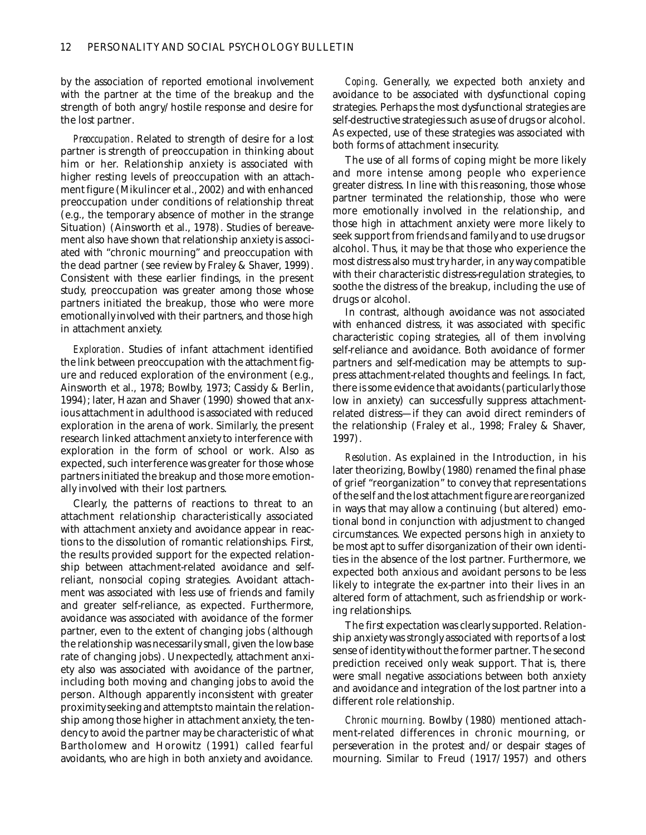by the association of reported emotional involvement with the partner at the time of the breakup and the strength of both angry/hostile response and desire for the lost partner.

*Preoccupation*. Related to strength of desire for a lost partner is strength of preoccupation in thinking about him or her. Relationship anxiety is associated with higher resting levels of preoccupation with an attachment figure (Mikulincer et al., 2002) and with enhanced preoccupation under conditions of relationship threat (e.g., the temporary absence of mother in the strange Situation) (Ainsworth et al., 1978). Studies of bereavement also have shown that relationship anxiety is associated with "chronic mourning" and preoccupation with the dead partner (see review by Fraley & Shaver, 1999). Consistent with these earlier findings, in the present study, preoccupation was greater among those whose partners initiated the breakup, those who were more emotionally involved with their partners, and those high in attachment anxiety.

*Exploration*. Studies of infant attachment identified the link between preoccupation with the attachment figure and reduced exploration of the environment (e.g., Ainsworth et al., 1978; Bowlby, 1973; Cassidy & Berlin, 1994); later, Hazan and Shaver (1990) showed that anxious attachment in adulthood is associated with reduced exploration in the arena of work. Similarly, the present research linked attachment anxiety to interference with exploration in the form of school or work. Also as expected, such interference was greater for those whose partners initiated the breakup and those more emotionally involved with their lost partners.

Clearly, the patterns of reactions to threat to an attachment relationship characteristically associated with attachment anxiety and avoidance appear in reactions to the dissolution of romantic relationships. First, the results provided support for the expected relationship between attachment-related avoidance and selfreliant, nonsocial coping strategies. Avoidant attachment was associated with less use of friends and family and greater self-reliance, as expected. Furthermore, avoidance was associated with avoidance of the former partner, even to the extent of changing jobs (although the relationship was necessarily small, given the low base rate of changing jobs). Unexpectedly, attachment anxiety also was associated with avoidance of the partner, including both moving and changing jobs to avoid the person. Although apparently inconsistent with greater proximity seeking and attempts to maintain the relationship among those higher in attachment anxiety, the tendency to avoid the partner may be characteristic of what Bartholomew and Horowitz (1991) called fearful avoidants, who are high in both anxiety and avoidance.

*Coping*. Generally, we expected both anxiety and avoidance to be associated with dysfunctional coping strategies. Perhaps the most dysfunctional strategies are self-destructive strategies such as use of drugs or alcohol. As expected, use of these strategies was associated with both forms of attachment insecurity.

The use of all forms of coping might be more likely and more intense among people who experience greater distress. In line with this reasoning, those whose partner terminated the relationship, those who were more emotionally involved in the relationship, and those high in attachment anxiety were more likely to seek support from friends and family and to use drugs or alcohol. Thus, it may be that those who experience the most distress also must try harder, in any way compatible with their characteristic distress-regulation strategies, to soothe the distress of the breakup, including the use of drugs or alcohol.

In contrast, although avoidance was not associated with enhanced distress, it was associated with specific characteristic coping strategies, all of them involving self-reliance and avoidance. Both avoidance of former partners and self-medication may be attempts to suppress attachment-related thoughts and feelings. In fact, there is some evidence that avoidants (particularly those low in anxiety) can successfully suppress attachmentrelated distress—if they can avoid direct reminders of the relationship (Fraley et al., 1998; Fraley & Shaver, 1997).

*Resolution*. As explained in the Introduction, in his later theorizing, Bowlby (1980) renamed the final phase of grief "reorganization" to convey that representations of the self and the lost attachment figure are reorganized in ways that may allow a continuing (but altered) emotional bond in conjunction with adjustment to changed circumstances. We expected persons high in anxiety to be most apt to suffer disorganization of their own identities in the absence of the lost partner. Furthermore, we expected both anxious and avoidant persons to be less likely to integrate the ex-partner into their lives in an altered form of attachment, such as friendship or working relationships.

The first expectation was clearly supported. Relationship anxiety was strongly associated with reports of a lost sense of identity without the former partner. The second prediction received only weak support. That is, there were small negative associations between both anxiety and avoidance and integration of the lost partner into a different role relationship.

*Chronic mourning*. Bowlby (1980) mentioned attachment-related differences in chronic mourning, or perseveration in the protest and/or despair stages of mourning. Similar to Freud (1917/1957) and others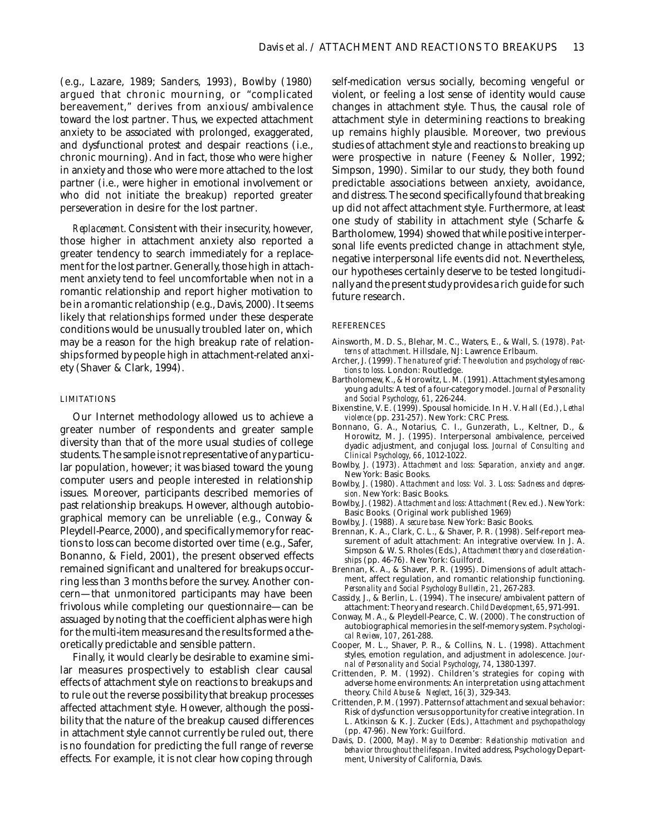(e.g., Lazare, 1989; Sanders, 1993), Bowlby (1980) argued that chronic mourning, or "complicated bereavement," derives from anxious/ambivalence toward the lost partner. Thus, we expected attachment anxiety to be associated with prolonged, exaggerated, and dysfunctional protest and despair reactions (i.e., chronic mourning). And in fact, those who were higher in anxiety and those who were more attached to the lost partner (i.e., were higher in emotional involvement or who did not initiate the breakup) reported greater perseveration in desire for the lost partner.

*Replacement*. Consistent with their insecurity, however, those higher in attachment anxiety also reported a greater tendency to search immediately for a replacement for the lost partner. Generally, those high in attachment anxiety tend to feel uncomfortable when not in a romantic relationship and report higher motivation to be in a romantic relationship (e.g., Davis, 2000). It seems likely that relationships formed under these desperate conditions would be unusually troubled later on, which may be a reason for the high breakup rate of relationships formed by people high in attachment-related anxiety (Shaver & Clark, 1994).

### LIMITATIONS

Our Internet methodology allowed us to achieve a greater number of respondents and greater sample diversity than that of the more usual studies of college students. The sample is not representative of any particular population, however; it was biased toward the young computer users and people interested in relationship issues. Moreover, participants described memories of past relationship breakups. However, although autobiographical memory can be unreliable (e.g., Conway & Pleydell-Pearce, 2000), and specifically memory for reactions to loss can become distorted over time (e.g., Safer, Bonanno, & Field, 2001), the present observed effects remained significant and unaltered for breakups occurring less than 3 months before the survey. Another concern—that unmonitored participants may have been frivolous while completing our questionnaire—can be assuaged by noting that the coefficient alphas were high for the multi-item measures and the results formed a theoretically predictable and sensible pattern.

Finally, it would clearly be desirable to examine similar measures prospectively to establish clear causal effects of attachment style on reactions to breakups and to rule out the reverse possibility that breakup processes affected attachment style. However, although the possibility that the nature of the breakup caused differences in attachment style cannot currently be ruled out, there is no foundation for predicting the full range of reverse effects. For example, it is not clear how coping through self-medication versus socially, becoming vengeful or violent, or feeling a lost sense of identity would cause changes in attachment style. Thus, the causal role of attachment style in determining reactions to breaking up remains highly plausible. Moreover, two previous studies of attachment style and reactions to breaking up were prospective in nature (Feeney & Noller, 1992; Simpson, 1990). Similar to our study, they both found predictable associations between anxiety, avoidance, and distress. The second specifically found that breaking up did not affect attachment style. Furthermore, at least one study of stability in attachment style (Scharfe & Bartholomew, 1994) showed that while positive interpersonal life events predicted change in attachment style, negative interpersonal life events did not. Nevertheless, our hypotheses certainly deserve to be tested longitudinally and the present study provides a rich guide for such future research.

#### **REFERENCES**

- Ainsworth, M. D. S., Blehar, M. C., Waters, E., & Wall, S. (1978). *Patterns of attachment*. Hillsdale, NJ: Lawrence Erlbaum.
- Archer, J. (1999). *The nature of grief: The evolution and psychology of reactions to loss*. London: Routledge.
- Bartholomew, K., & Horowitz, L. M. (1991). Attachment styles among young adults: A test of a four-category model. *Journal of Personality and Social Psychology*, *61*, 226-244.
- Bixenstine, V. E. (1999). Spousal homicide. In H. V. Hall (Ed.), *Lethal violence* (pp. 231-257). New York: CRC Press.
- Bonnano, G. A., Notarius, C. I., Gunzerath, L., Keltner, D., & Horowitz, M. J. (1995). Interpersonal ambivalence, perceived dyadic adjustment, and conjugal loss. *Journal of Consulting and Clinical Psychology*, *66*, 1012-1022.
- Bowlby, J. (1973). *Attachment and loss: Separation, anxiety and anger*. New York: Basic Books.
- Bowlby, J. (1980). *Attachment and loss: Vol. 3. Loss: Sadness and depression*. New York: Basic Books.
- Bowlby, J. (1982). *Attachment and loss: Attachment* (Rev. ed.). New York: Basic Books. (Original work published 1969)
- Bowlby, J. (1988). *A secure base*. New York: Basic Books.
- Brennan, K. A., Clark, C. L., & Shaver, P. R. (1998). Self-report measurement of adult attachment: An integrative overview. In J. A. Simpson & W. S. Rholes (Eds.), *Attachment theory and close relationships* (pp. 46-76). New York: Guilford.
- Brennan, K. A., & Shaver, P. R. (1995). Dimensions of adult attachment, affect regulation, and romantic relationship functioning. *Personality and Social Psychology Bulletin*, *21*, 267-283.
- Cassidy, J., & Berlin, L. (1994). The insecure/ambivalent pattern of attachment: Theory and research. *Child Development*, *65*, 971-991.
- Conway, M. A., & Pleydell-Pearce, C. W. (2000). The construction of autobiographical memories in the self-memory system. *Psychological Review*, *107*, 261-288.
- Cooper, M. L., Shaver, P. R., & Collins, N. L. (1998). Attachment styles, emotion regulation, and adjustment in adolescence. *Journal of Personality and Social Psychology*, *74*, 1380-1397.
- Crittenden, P. M. (1992). Children's strategies for coping with adverse home environments: An interpretation using attachment theory. *Child Abuse & Neglect*, *16*(3), 329-343.
- Crittenden, P. M. (1997). Patterns of attachment and sexual behavior: Risk of dysfunction versus opportunity for creative integration. In L. Atkinson & K. J. Zucker (Eds.), *Attachment and psychopathology* (pp. 47-96). New York: Guilford.
- Davis, D. (2000, May). *May to December: Relationship motivation and behavior throughout the lifespan*. Invited address, Psychology Department, University of California, Davis.